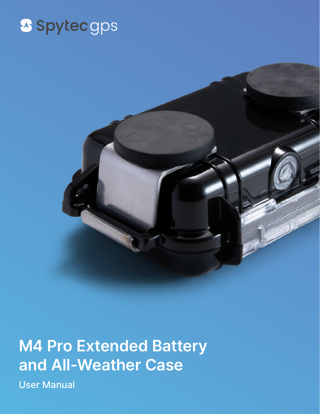## S Spytec gps



#### **M4 Pro Extended Battery and All-Weather Case**

User Manual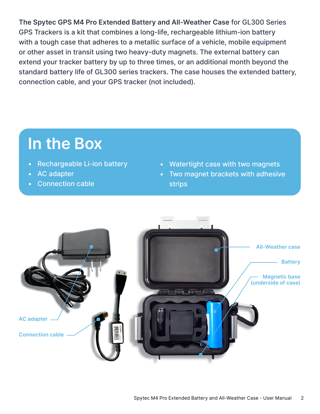**The Spytec GPS M4 Pro Extended Battery and All-Weather Case** for GL300 Series GPS Trackers is a kit that combines a long-life, rechargeable lithium-ion battery with a tough case that adheres to a metallic surface of a vehicle, mobile equipment or other asset in transit using two heavy-duty magnets. The external battery can extend your tracker battery by up to three times, or an additional month beyond the standard battery life of GL300 series trackers. The case houses the extended battery, connection cable, and your GPS tracker (not included).

#### **In the Box**

- Rechargeable Li-ion battery
- AC adapter
- Connection cable
- Watertight case with two magnets
- Two magnet brackets with adhesive strips

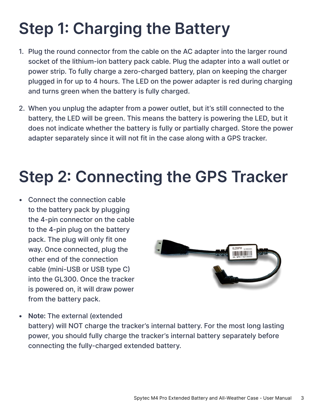## **Step 1: Charging the Battery**

- 1. Plug the round connector from the cable on the AC adapter into the larger round socket of the lithium-ion battery pack cable. Plug the adapter into a wall outlet or power strip. To fully charge a zero-charged battery, plan on keeping the charger plugged in for up to 4 hours. The LED on the power adapter is red during charging and turns green when the battery is fully charged.
- 2. When you unplug the adapter from a power outlet, but it's still connected to the battery, the LED will be green. This means the battery is powering the LED, but it does not indicate whether the battery is fully or partially charged. Store the power adapter separately since it will not fit in the case along with a GPS tracker.

## **Step 2: Connecting the GPS Tracker**

• Connect the connection cable to the battery pack by plugging the 4-pin connector on the cable to the 4-pin plug on the battery pack. The plug will only fit one way. Once connected, plug the other end of the connection cable (mini-USB or USB type C) into the GL300. Once the tracker is powered on, it will draw power from the battery pack.



**• Note:** The external (extended battery) will NOT charge the tracker's internal battery. For the most long lasting power, you should fully charge the tracker's internal battery separately before connecting the fully-charged extended battery.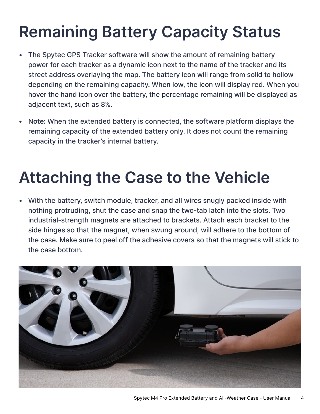# **Remaining Battery Capacity Status**

- The Spytec GPS Tracker software will show the amount of remaining battery power for each tracker as a dynamic icon next to the name of the tracker and its street address overlaying the map. The battery icon will range from solid to hollow depending on the remaining capacity. When low, the icon will display red. When you hover the hand icon over the battery, the percentage remaining will be displayed as adjacent text, such as 8%.
- **• Note:** When the extended battery is connected, the software platform displays the remaining capacity of the extended battery only. It does not count the remaining capacity in the tracker's internal battery.

## **Attaching the Case to the Vehicle**

• With the battery, switch module, tracker, and all wires snugly packed inside with nothing protruding, shut the case and snap the two-tab latch into the slots. Two industrial-strength magnets are attached to brackets. Attach each bracket to the side hinges so that the magnet, when swung around, will adhere to the bottom of the case. Make sure to peel off the adhesive covers so that the magnets will stick to the case bottom.

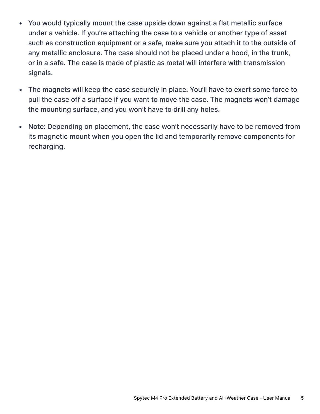- You would typically mount the case upside down against a flat metallic surface under a vehicle. If you're attaching the case to a vehicle or another type of asset such as construction equipment or a safe, make sure you attach it to the outside of any metallic enclosure. The case should not be placed under a hood, in the trunk, or in a safe. The case is made of plastic as metal will interfere with transmission signals.
- The magnets will keep the case securely in place. You'll have to exert some force to pull the case off a surface if you want to move the case. The magnets won't damage the mounting surface, and you won't have to drill any holes.
- Note: Depending on placement, the case won't necessarily have to be removed from its magnetic mount when you open the lid and temporarily remove components for recharging.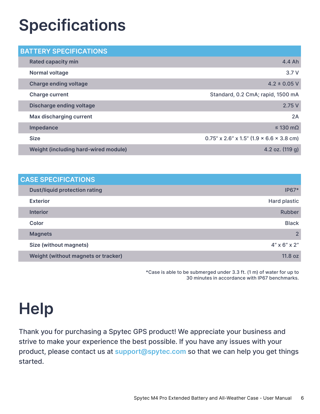## **Specifications**

| <b>BATTERY SPECIFICATIONS</b>        |                                             |
|--------------------------------------|---------------------------------------------|
| <b>Rated capacity min</b>            | 4.4 Ah                                      |
| Normal voltage                       | 3.7V                                        |
| <b>Charge ending voltage</b>         | $4.2 \pm 0.05$ V                            |
| <b>Charge current</b>                | Standard, 0.2 CmA; rapid, 1500 mA           |
| <b>Discharge ending voltage</b>      | 2.75V                                       |
| Max discharging current              | 2A                                          |
| Impedance                            | $\leq$ 130 m $\Omega$                       |
| <b>Size</b>                          | $0.75''$ x 2.6" x 1.5" (1.9 × 6.6 × 3.8 cm) |
| Weight (including hard-wired module) | 4.2 oz. (119 g)                             |

| <b>CASE SPECIFICATIONS</b>           |                             |
|--------------------------------------|-----------------------------|
| <b>Dust/liquid protection rating</b> | $IP67*$                     |
| <b>Exterior</b>                      | Hard plastic                |
| <b>Interior</b>                      | Rubber                      |
| <b>Color</b>                         | <b>Black</b>                |
| <b>Magnets</b>                       | $\overline{2}$              |
| Size (without magnets)               | $4'' \times 6'' \times 2''$ |
| Weight (without magnets or tracker)  | 11.8 oz                     |
|                                      |                             |

\*Case is able to be submerged under 3.3 ft. (1 m) of water for up to 30 minutes in accordance with IP67 benchmarks.

## **Help**

Thank you for purchasing a Spytec GPS product! We appreciate your business and strive to make your experience the best possible. If you have any issues with your product, please contact us at **support@spytec.com** so that we can help you get things started.